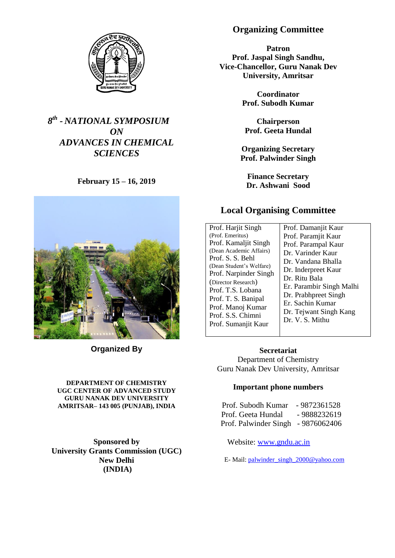

# *8 th - NATIONAL SYMPOSIUM ON ADVANCES IN CHEMICAL SCIENCES*

**February 15 – 16, 2019**



**Organized By**

#### **DEPARTMENT OF CHEMISTRY UGC CENTER OF ADVANCED STUDY GURU NANAK DEV UNIVERSITY AMRITSAR– 143 005 (PUNJAB), INDIA**

**Sponsored by University Grants Commission (UGC) New Delhi (INDIA)**

# **Organizing Committee**

**Patron Prof. Jaspal Singh Sandhu, Vice-Chancellor, Guru Nanak Dev University, Amritsar**

> **Coordinator Prof. Subodh Kumar**

**Chairperson Prof. Geeta Hundal**

**Organizing Secretary Prof. Palwinder Singh**

**Finance Secretary Dr. Ashwani Sood**

# **Local Organising Committee**

| Prof. Harjit Singh<br>(Prof. Emeritus)<br>Prof. Kamaljit Singh<br>(Dean Academic Affairs)<br>Prof. S. S. Behl<br>(Dean Student's Welfare)<br>Prof. Narpinder Singh | Prof. Damanjit Kaur<br>Prof. Paramjit Kaur<br>Prof. Parampal Kaur<br>Dr. Varinder Kaur<br>Dr. Vandana Bhalla<br>Dr. Inderpreet Kaur<br>Dr. Ritu Bala |
|--------------------------------------------------------------------------------------------------------------------------------------------------------------------|------------------------------------------------------------------------------------------------------------------------------------------------------|
| (Director Research)<br>Prof. T.S. Lobana<br>Prof. T. S. Banipal<br>Prof. Manoj Kumar<br>Prof. S.S. Chimni<br>Prof. Sumanjit Kaur                                   | Er. Parambir Singh Malhi<br>Dr. Prabhpreet Singh<br>Er. Sachin Kumar<br>Dr. Tejwant Singh Kang<br>Dr. V. S. Mithu                                    |

**Secretariat** Department of Chemistry Guru Nanak Dev University, Amritsar

## **Important phone numbers**

| Prof. Subodh Kumar                 | - 9872361528 |
|------------------------------------|--------------|
| Prof. Geeta Hundal                 | - 9888232619 |
| Prof. Palwinder Singh - 9876062406 |              |

Website: [www.gndu.ac.in](http://www.gndu.ac.in/)

E- Mail: [palwinder\\_singh\\_2000@yahoo.com](mailto:palwinder_singh_2000@yahoo.com)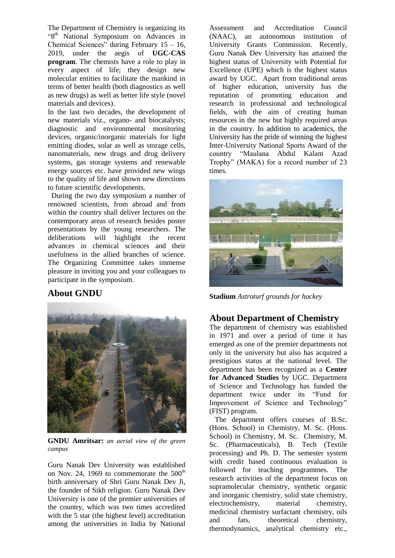The Department of Chemistry is organizing its "8<sup>th</sup> National Symposium on Advances in Chemical Sciences" during February 15 – 16, 2019, under the aegis of **UGC-CAS program**. The chemists have a role to play in every aspect of life; they design new molecular entities to facilitate the mankind in terms of better health (both diagnostics as well as new drugs) as well as better life style (novel materials and devices).

In the last two decades, the development of new materials viz., organo- and biocatalysts; diagnostic and environmental monitoring devices, organic/inorganic materials for light emitting diodes, solar as well as storage cells, nanomaterials, new drugs and drug delivery systems, gas storage systems and renewable energy sources etc. have provided new wings to the quality of life and shown new directions to future scientific developments.

 During the two day symposium a number of renowned scientists, from abroad and from within the country shall deliver lectures on the contemporary areas of research besides poster presentations by the young researchers. The deliberations will highlight the recent advances in chemical sciences and their usefulness in the allied branches of science. The Organizing Committee takes immense pleasure in inviting you and your colleagues to participate in the symposium.

## **About GNDU**



**GNDU Amritsar:** *an aerial view of the green campus*

Guru Nanak Dev University was established on Nov. 24, 1969 to commemorate the  $500<sup>th</sup>$ birth anniversary of Shri Guru Nanak Dev Ji, the founder of Sikh religion. Guru Nanak Dev University is one of the premier universities of the country, which was two times accredited with the 5 star (the highest level) accreditation among the universities in India by National

Assessment and Accreditation Council (NAAC), an autonomous institution of University Grants Commission. Recently, Guru Nanak Dev University has attained the highest status of University with Potential for Excellence (UPE) which is the highest status award by UGC. Apart from traditional areas of higher education, university has the reputation of promoting education and research in professional and technological fields, with the aim of creating human resources in the new but highly required areas in the country. In addition to academics, the University has the pride of winning the highest Inter-University National Sports Award of the country "Maulana Abdul Kalam Azad Trophy" (MAKA) for a record number of 23 times.



**Stadium** *Astroturf grounds for hockey*

## **About Department of Chemistry**

The department of chemistry was established in 1971 and over a period of time it has emerged as one of the premier departments not only in the university but also has acquired a prestigious status at the national level. The department has been recognized as a **Center for Advanced Studies** by UGC. Department of Science and Technology has funded the department twice under its "Fund for Improvement of Science and Technology" (FIST) program.

 The department offers courses of B.Sc. (Hons. School) in Chemistry, M. Sc. (Hons. School) in Chemistry, M. Sc. Chemistry, M. Sc. (Pharmaceuticals), B. Tech (Textile processing) and Ph. D. The semester system with credit based continuous evaluation is followed for teaching programmes. The research activities of the department focus on supramolecular chemistry, synthetic organic and inorganic chemistry, solid state chemistry, electrochemistry, material chemistry, medicinal chemistry surfactant chemistry, oils and fats, theoretical chemistry, thermodynamics, analytical chemistry etc.,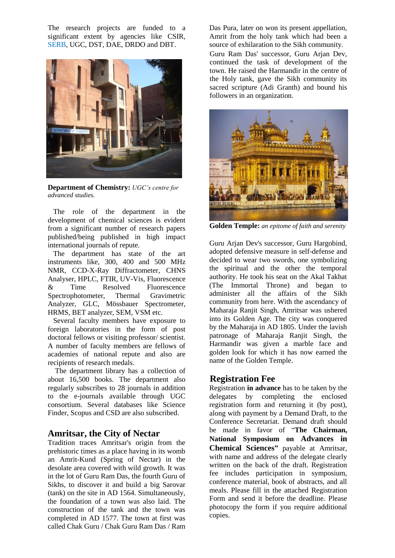The research projects are funded to a significant extent by agencies like CSIR, SERB, UGC, DST, DAE, DRDO and DBT.



**Department of Chemistry:** *UGC's centre for advanced studies.*

 The role of the department in the development of chemical sciences is evident from a significant number of research papers published/being published in high impact international journals of repute.

 The department has state of the art instruments like, 300, 400 and 500 MHz NMR, CCD-X-Ray Diffractometer, CHNS Analyser, HPLC, FTIR, UV-Vis, Fluorescence<br>& Time Resolved Fluorescence Time Resolved Fluorescence Spectrophotometer, Thermal Gravimetric Analyzer, GLC, Mössbauer Spectrometer, HRMS, BET analyzer, SEM, VSM etc.

 Several faculty members have exposure to foreign laboratories in the form of post doctoral fellows or visiting professor/ scientist. A number of faculty members are fellows of academies of national repute and also are recipients of research medals.

 The department library has a collection of about 16,500 books. The department also regularly subscribes to 28 journals in addition to the e-journals available through UGC consortium. Several databases like Science Finder, Scopus and CSD are also subscribed.

## **Amritsar, the City of Nectar**

Tradition traces Amritsar's origin from the prehistoric times as a place having in its womb an Amrit-Kund (Spring of Nectar) in the desolate area covered with wild growth. It was in the lot of Guru Ram Das, the fourth Guru of Sikhs, to discover it and build a big Sarovar (tank) on the site in AD 1564. Simultaneously, the foundation of a town was also laid. The construction of the tank and the town was completed in AD 1577. The town at first was called Chak Guru / Chak Guru Ram Das / Ram

Das Pura, later on won its present appellation, Amrit from the holy tank which had been a source of exhilaration to the Sikh community. Guru Ram Das' successor, Guru Arjan Dev, continued the task of development of the town. He raised the Harmandir in the centre of the Holy tank, gave the Sikh community its sacred scripture (Adi Granth) and bound his followers in an organization.



**Golden Temple:** *an epitome of faith and serenity*

Guru Arjan Dev's successor, Guru Hargobind, adopted defensive measure in self-defense and decided to wear two swords, one symbolizing the spiritual and the other the temporal authority. He took his seat on the Akal Takhat (The Immortal Throne) and began to administer all the affairs of the Sikh community from here. With the ascendancy of Maharaja Ranjit Singh, Amritsar was ushered into its Golden Age. The city was conquered by the Maharaja in AD 1805. Under the lavish patronage of Maharaja Ranjit Singh, the Harmandir was given a marble face and golden look for which it has now earned the name of the Golden Temple.

## **Registration Fee**

Registration **in advance** has to be taken by the delegates by completing the enclosed registration form and returning it (by post), along with payment by a Demand Draft, to the Conference Secretariat. Demand draft should be made in favor of "**The Chairman, National Symposium on Advances in Chemical Sciences"** payable at Amritsar, with name and address of the delegate clearly written on the back of the draft. Registration fee includes participation in symposium, conference material, book of abstracts, and all meals. Please fill in the attached Registration Form and send it before the deadline. Please photocopy the form if you require additional copies.